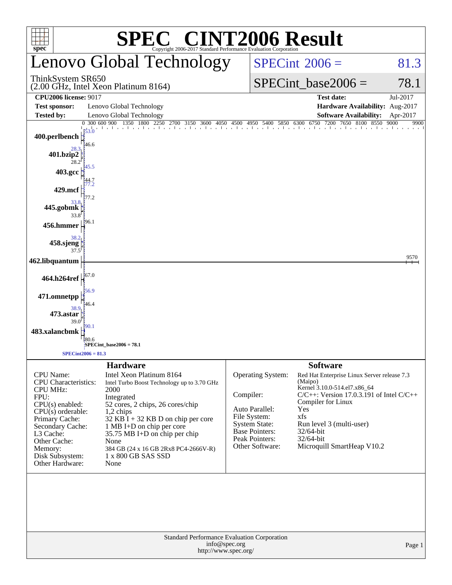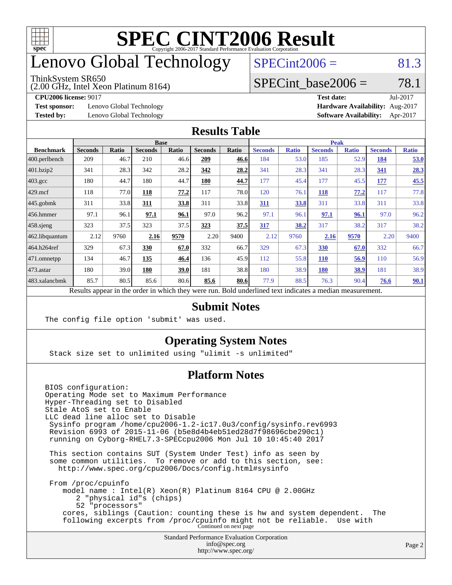

### enovo Global Technology

#### ThinkSystem SR650

(2.00 GHz, Intel Xeon Platinum 8164)

 $SPECint2006 = 81.3$  $SPECint2006 = 81.3$ 

### SPECint base2006 =  $78.1$

**[Test sponsor:](http://www.spec.org/auto/cpu2006/Docs/result-fields.html#Testsponsor)** Lenovo Global Technology **[Hardware Availability:](http://www.spec.org/auto/cpu2006/Docs/result-fields.html#HardwareAvailability)** Aug-2017

**[CPU2006 license:](http://www.spec.org/auto/cpu2006/Docs/result-fields.html#CPU2006license)** 9017 **[Test date:](http://www.spec.org/auto/cpu2006/Docs/result-fields.html#Testdate)** Jul-2017 **[Tested by:](http://www.spec.org/auto/cpu2006/Docs/result-fields.html#Testedby)** Lenovo Global Technology **[Software Availability:](http://www.spec.org/auto/cpu2006/Docs/result-fields.html#SoftwareAvailability)** Apr-2017

#### **[Results Table](http://www.spec.org/auto/cpu2006/Docs/result-fields.html#ResultsTable)**

|                                                                                                          | <b>Base</b>    |       |                |       |                |       | <b>Peak</b>    |              |                |              |                |              |
|----------------------------------------------------------------------------------------------------------|----------------|-------|----------------|-------|----------------|-------|----------------|--------------|----------------|--------------|----------------|--------------|
| <b>Benchmark</b>                                                                                         | <b>Seconds</b> | Ratio | <b>Seconds</b> | Ratio | <b>Seconds</b> | Ratio | <b>Seconds</b> | <b>Ratio</b> | <b>Seconds</b> | <b>Ratio</b> | <b>Seconds</b> | <b>Ratio</b> |
| $ 400.\text{perlbench} $                                                                                 | 209            | 46.7  | 210            | 46.6  | 209            | 46.6  | 184            | 53.0         | 185            | 52.9         | 184            | 53.0         |
| 401.bzip2                                                                                                | 341            | 28.3  | 342            | 28.2  | 342            | 28.2  | 341            | 28.3         | 341            | 28.3         | 341            | 28.3         |
| $403.\mathrm{gcc}$                                                                                       | 180            | 44.7  | 180            | 44.7  | 180            | 44.7  | 177            | 45.4         | 177            | 45.5         | 177            | 45.5         |
| $429$ mcf                                                                                                | 118            | 77.0  | 118            | 77.2  | 117            | 78.0  | 120            | 76.1         | 118            | 77.2         | 117            | 77.8         |
| $445$ .gobmk                                                                                             | 311            | 33.8  | 311            | 33.8  | 311            | 33.8  | 311            | 33.8         | 311            | 33.8         | 311            | 33.8         |
| $ 456$ .hmmer                                                                                            | 97.1           | 96.1  | 97.1           | 96.1  | 97.0           | 96.2  | 97.1           | 96.1         | 97.1           | 96.1         | 97.0           | 96.2         |
| $458$ .sjeng                                                                                             | 323            | 37.5  | 323            | 37.5  | 323            | 37.5  | 317            | 38.2         | 317            | 38.2         | 317            | 38.2         |
| 462.libquantum                                                                                           | 2.12           | 9760  | 2.16           | 9570  | 2.20           | 9400  | 2.12           | 9760         | 2.16           | 9570         | 2.20           | 9400         |
| 464.h264ref                                                                                              | 329            | 67.3  | 330            | 67.0  | 332            | 66.7  | 329            | 67.3         | 330            | 67.0         | 332            | 66.7         |
| 471.omnetpp                                                                                              | 134            | 46.7  | 135            | 46.4  | 136            | 45.9  | 112            | 55.8         | <b>110</b>     | 56.9         | 110            | 56.9         |
| $ 473$ . astar                                                                                           | 180            | 39.0  | 180            | 39.0  | 181            | 38.8  | 180            | 38.9         | 180            | 38.9         | 181            | 38.9         |
| 483.xalancbmk                                                                                            | 85.7           | 80.5  | 85.6           | 80.6  | 85.6           | 80.6  | 77.9           | 88.5         | 76.3           | 90.4         | 76.6           | <u>90.1</u>  |
| Results appear in the order in which they were run. Bold underlined text indicates a median measurement. |                |       |                |       |                |       |                |              |                |              |                |              |

#### **[Submit Notes](http://www.spec.org/auto/cpu2006/Docs/result-fields.html#SubmitNotes)**

The config file option 'submit' was used.

### **[Operating System Notes](http://www.spec.org/auto/cpu2006/Docs/result-fields.html#OperatingSystemNotes)**

Stack size set to unlimited using "ulimit -s unlimited"

### **[Platform Notes](http://www.spec.org/auto/cpu2006/Docs/result-fields.html#PlatformNotes)**

Standard Performance Evaluation Corporation [info@spec.org](mailto:info@spec.org) BIOS configuration: Operating Mode set to Maximum Performance Hyper-Threading set to Disabled Stale AtoS set to Enable LLC dead line alloc set to Disable Sysinfo program /home/cpu2006-1.2-ic17.0u3/config/sysinfo.rev6993 Revision 6993 of 2015-11-06 (b5e8d4b4eb51ed28d7f98696cbe290c1) running on Cyborg-RHEL7.3-SPECcpu2006 Mon Jul 10 10:45:40 2017 This section contains SUT (System Under Test) info as seen by some common utilities. To remove or add to this section, see: <http://www.spec.org/cpu2006/Docs/config.html#sysinfo> From /proc/cpuinfo model name : Intel(R) Xeon(R) Platinum 8164 CPU @ 2.00GHz 2 "physical id"s (chips) 52 "processors" cores, siblings (Caution: counting these is hw and system dependent. The following excerpts from /proc/cpuinfo might not be reliable. Use with Continued on next page

<http://www.spec.org/>

Page 2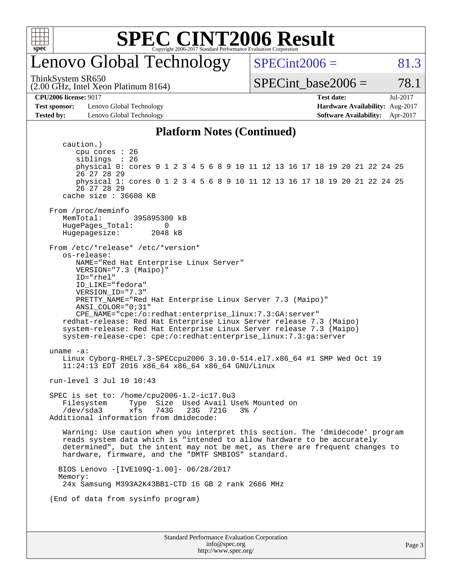

### enovo Global Technology

ThinkSystem SR650

(2.00 GHz, Intel Xeon Platinum 8164)

 $SPECint2006 = 81.3$  $SPECint2006 = 81.3$ 

SPECint base2006 =  $78.1$ 

**[CPU2006 license:](http://www.spec.org/auto/cpu2006/Docs/result-fields.html#CPU2006license)** 9017 **[Test date:](http://www.spec.org/auto/cpu2006/Docs/result-fields.html#Testdate)** Jul-2017

**[Test sponsor:](http://www.spec.org/auto/cpu2006/Docs/result-fields.html#Testsponsor)** Lenovo Global Technology **[Hardware Availability:](http://www.spec.org/auto/cpu2006/Docs/result-fields.html#HardwareAvailability)** Aug-2017 **[Tested by:](http://www.spec.org/auto/cpu2006/Docs/result-fields.html#Testedby)** Lenovo Global Technology **[Software Availability:](http://www.spec.org/auto/cpu2006/Docs/result-fields.html#SoftwareAvailability)** Apr-2017

#### **[Platform Notes \(Continued\)](http://www.spec.org/auto/cpu2006/Docs/result-fields.html#PlatformNotes)**

Standard Performance Evaluation Corporation [info@spec.org](mailto:info@spec.org) <http://www.spec.org/> Page 3 caution.) cpu cores : 26 siblings : 26 physical 0: cores 0 1 2 3 4 5 6 8 9 10 11 12 13 16 17 18 19 20 21 22 24 25 26 27 28 29 physical 1: cores 0 1 2 3 4 5 6 8 9 10 11 12 13 16 17 18 19 20 21 22 24 25 26 27 28 29 cache size : 36608 KB From /proc/meminfo<br>MemTotal: 395895300 kB HugePages\_Total: 0 Hugepagesize: 2048 kB From /etc/\*release\* /etc/\*version\* os-release: NAME="Red Hat Enterprise Linux Server" VERSION="7.3 (Maipo)" ID="rhel" ID\_LIKE="fedora" VERSION\_ID="7.3" PRETTY\_NAME="Red Hat Enterprise Linux Server 7.3 (Maipo)" ANSI\_COLOR="0;31" CPE\_NAME="cpe:/o:redhat:enterprise\_linux:7.3:GA:server" redhat-release: Red Hat Enterprise Linux Server release 7.3 (Maipo) system-release: Red Hat Enterprise Linux Server release 7.3 (Maipo) system-release-cpe: cpe:/o:redhat:enterprise\_linux:7.3:ga:server uname -a: Linux Cyborg-RHEL7.3-SPECcpu2006 3.10.0-514.el7.x86\_64 #1 SMP Wed Oct 19 11:24:13 EDT 2016 x86\_64 x86\_64 x86\_64 GNU/Linux run-level 3 Jul 10 10:43 SPEC is set to: /home/cpu2006-1.2-ic17.0u3 Filesystem Type Size Used Avail Use% Mounted on<br>/dev/sda3 xfs 743G 23G 721G 3% / /dev/sda3 xfs 743G 23G 721G 3% / Additional information from dmidecode: Warning: Use caution when you interpret this section. The 'dmidecode' program reads system data which is "intended to allow hardware to be accurately determined", but the intent may not be met, as there are frequent changes to hardware, firmware, and the "DMTF SMBIOS" standard. BIOS Lenovo -[IVE109Q-1.00]- 06/28/2017 Memory: 24x Samsung M393A2K43BB1-CTD 16 GB 2 rank 2666 MHz (End of data from sysinfo program)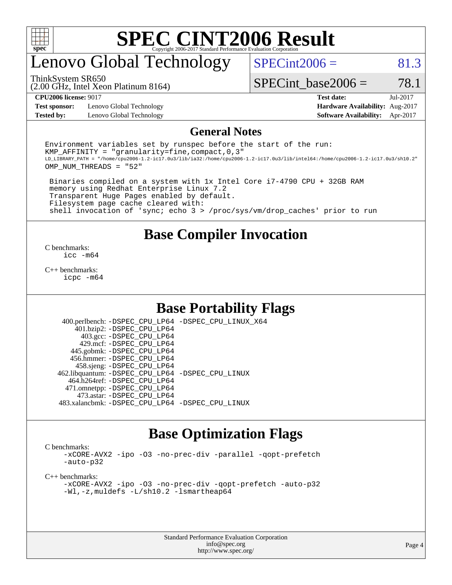

## enovo Global Technology

ThinkSystem SR650

 $SPECint2006 = 81.3$  $SPECint2006 = 81.3$ 

SPECint base2006 =  $78.1$ 

**[Test sponsor:](http://www.spec.org/auto/cpu2006/Docs/result-fields.html#Testsponsor)** Lenovo Global Technology **[Hardware Availability:](http://www.spec.org/auto/cpu2006/Docs/result-fields.html#HardwareAvailability)** Aug-2017 **[Tested by:](http://www.spec.org/auto/cpu2006/Docs/result-fields.html#Testedby)** Lenovo Global Technology **[Software Availability:](http://www.spec.org/auto/cpu2006/Docs/result-fields.html#SoftwareAvailability)** Apr-2017

(2.00 GHz, Intel Xeon Platinum 8164)

**[CPU2006 license:](http://www.spec.org/auto/cpu2006/Docs/result-fields.html#CPU2006license)** 9017 **[Test date:](http://www.spec.org/auto/cpu2006/Docs/result-fields.html#Testdate)** Jul-2017

#### **[General Notes](http://www.spec.org/auto/cpu2006/Docs/result-fields.html#GeneralNotes)**

Environment variables set by runspec before the start of the run: KMP AFFINITY = "granularity=fine, compact,  $0,3$ " LD\_LIBRARY\_PATH = "/home/cpu2006-1.2-ic17.0u3/lib/ia32:/home/cpu2006-1.2-ic17.0u3/lib/intel64:/home/cpu2006-1.2-ic17.0u3/sh10.2" OMP\_NUM\_THREADS = "52"

 Binaries compiled on a system with 1x Intel Core i7-4790 CPU + 32GB RAM memory using Redhat Enterprise Linux 7.2 Transparent Huge Pages enabled by default. Filesystem page cache cleared with: shell invocation of 'sync; echo 3 > /proc/sys/vm/drop\_caches' prior to run

### **[Base Compiler Invocation](http://www.spec.org/auto/cpu2006/Docs/result-fields.html#BaseCompilerInvocation)**

[C benchmarks](http://www.spec.org/auto/cpu2006/Docs/result-fields.html#Cbenchmarks): [icc -m64](http://www.spec.org/cpu2006/results/res2017q4/cpu2006-20170918-49790.flags.html#user_CCbase_intel_icc_64bit_bda6cc9af1fdbb0edc3795bac97ada53)

[C++ benchmarks:](http://www.spec.org/auto/cpu2006/Docs/result-fields.html#CXXbenchmarks) [icpc -m64](http://www.spec.org/cpu2006/results/res2017q4/cpu2006-20170918-49790.flags.html#user_CXXbase_intel_icpc_64bit_fc66a5337ce925472a5c54ad6a0de310)

### **[Base Portability Flags](http://www.spec.org/auto/cpu2006/Docs/result-fields.html#BasePortabilityFlags)**

 400.perlbench: [-DSPEC\\_CPU\\_LP64](http://www.spec.org/cpu2006/results/res2017q4/cpu2006-20170918-49790.flags.html#b400.perlbench_basePORTABILITY_DSPEC_CPU_LP64) [-DSPEC\\_CPU\\_LINUX\\_X64](http://www.spec.org/cpu2006/results/res2017q4/cpu2006-20170918-49790.flags.html#b400.perlbench_baseCPORTABILITY_DSPEC_CPU_LINUX_X64) 401.bzip2: [-DSPEC\\_CPU\\_LP64](http://www.spec.org/cpu2006/results/res2017q4/cpu2006-20170918-49790.flags.html#suite_basePORTABILITY401_bzip2_DSPEC_CPU_LP64) 403.gcc: [-DSPEC\\_CPU\\_LP64](http://www.spec.org/cpu2006/results/res2017q4/cpu2006-20170918-49790.flags.html#suite_basePORTABILITY403_gcc_DSPEC_CPU_LP64) 429.mcf: [-DSPEC\\_CPU\\_LP64](http://www.spec.org/cpu2006/results/res2017q4/cpu2006-20170918-49790.flags.html#suite_basePORTABILITY429_mcf_DSPEC_CPU_LP64) 445.gobmk: [-DSPEC\\_CPU\\_LP64](http://www.spec.org/cpu2006/results/res2017q4/cpu2006-20170918-49790.flags.html#suite_basePORTABILITY445_gobmk_DSPEC_CPU_LP64) 456.hmmer: [-DSPEC\\_CPU\\_LP64](http://www.spec.org/cpu2006/results/res2017q4/cpu2006-20170918-49790.flags.html#suite_basePORTABILITY456_hmmer_DSPEC_CPU_LP64) 458.sjeng: [-DSPEC\\_CPU\\_LP64](http://www.spec.org/cpu2006/results/res2017q4/cpu2006-20170918-49790.flags.html#suite_basePORTABILITY458_sjeng_DSPEC_CPU_LP64) 462.libquantum: [-DSPEC\\_CPU\\_LP64](http://www.spec.org/cpu2006/results/res2017q4/cpu2006-20170918-49790.flags.html#suite_basePORTABILITY462_libquantum_DSPEC_CPU_LP64) [-DSPEC\\_CPU\\_LINUX](http://www.spec.org/cpu2006/results/res2017q4/cpu2006-20170918-49790.flags.html#b462.libquantum_baseCPORTABILITY_DSPEC_CPU_LINUX) 464.h264ref: [-DSPEC\\_CPU\\_LP64](http://www.spec.org/cpu2006/results/res2017q4/cpu2006-20170918-49790.flags.html#suite_basePORTABILITY464_h264ref_DSPEC_CPU_LP64) 471.omnetpp: [-DSPEC\\_CPU\\_LP64](http://www.spec.org/cpu2006/results/res2017q4/cpu2006-20170918-49790.flags.html#suite_basePORTABILITY471_omnetpp_DSPEC_CPU_LP64) 473.astar: [-DSPEC\\_CPU\\_LP64](http://www.spec.org/cpu2006/results/res2017q4/cpu2006-20170918-49790.flags.html#suite_basePORTABILITY473_astar_DSPEC_CPU_LP64) 483.xalancbmk: [-DSPEC\\_CPU\\_LP64](http://www.spec.org/cpu2006/results/res2017q4/cpu2006-20170918-49790.flags.html#suite_basePORTABILITY483_xalancbmk_DSPEC_CPU_LP64) [-DSPEC\\_CPU\\_LINUX](http://www.spec.org/cpu2006/results/res2017q4/cpu2006-20170918-49790.flags.html#b483.xalancbmk_baseCXXPORTABILITY_DSPEC_CPU_LINUX)

### **[Base Optimization Flags](http://www.spec.org/auto/cpu2006/Docs/result-fields.html#BaseOptimizationFlags)**

[C benchmarks](http://www.spec.org/auto/cpu2006/Docs/result-fields.html#Cbenchmarks):

[-xCORE-AVX2](http://www.spec.org/cpu2006/results/res2017q4/cpu2006-20170918-49790.flags.html#user_CCbase_f-xCORE-AVX2) [-ipo](http://www.spec.org/cpu2006/results/res2017q4/cpu2006-20170918-49790.flags.html#user_CCbase_f-ipo) [-O3](http://www.spec.org/cpu2006/results/res2017q4/cpu2006-20170918-49790.flags.html#user_CCbase_f-O3) [-no-prec-div](http://www.spec.org/cpu2006/results/res2017q4/cpu2006-20170918-49790.flags.html#user_CCbase_f-no-prec-div) [-parallel](http://www.spec.org/cpu2006/results/res2017q4/cpu2006-20170918-49790.flags.html#user_CCbase_f-parallel) [-qopt-prefetch](http://www.spec.org/cpu2006/results/res2017q4/cpu2006-20170918-49790.flags.html#user_CCbase_f-qopt-prefetch) [-auto-p32](http://www.spec.org/cpu2006/results/res2017q4/cpu2006-20170918-49790.flags.html#user_CCbase_f-auto-p32)

[C++ benchmarks:](http://www.spec.org/auto/cpu2006/Docs/result-fields.html#CXXbenchmarks)

[-xCORE-AVX2](http://www.spec.org/cpu2006/results/res2017q4/cpu2006-20170918-49790.flags.html#user_CXXbase_f-xCORE-AVX2) [-ipo](http://www.spec.org/cpu2006/results/res2017q4/cpu2006-20170918-49790.flags.html#user_CXXbase_f-ipo) [-O3](http://www.spec.org/cpu2006/results/res2017q4/cpu2006-20170918-49790.flags.html#user_CXXbase_f-O3) [-no-prec-div](http://www.spec.org/cpu2006/results/res2017q4/cpu2006-20170918-49790.flags.html#user_CXXbase_f-no-prec-div) [-qopt-prefetch](http://www.spec.org/cpu2006/results/res2017q4/cpu2006-20170918-49790.flags.html#user_CXXbase_f-qopt-prefetch) [-auto-p32](http://www.spec.org/cpu2006/results/res2017q4/cpu2006-20170918-49790.flags.html#user_CXXbase_f-auto-p32) [-Wl,-z,muldefs](http://www.spec.org/cpu2006/results/res2017q4/cpu2006-20170918-49790.flags.html#user_CXXbase_link_force_multiple1_74079c344b956b9658436fd1b6dd3a8a) [-L/sh10.2 -lsmartheap64](http://www.spec.org/cpu2006/results/res2017q4/cpu2006-20170918-49790.flags.html#user_CXXbase_SmartHeap64_63911d860fc08c15fa1d5bf319b9d8d5)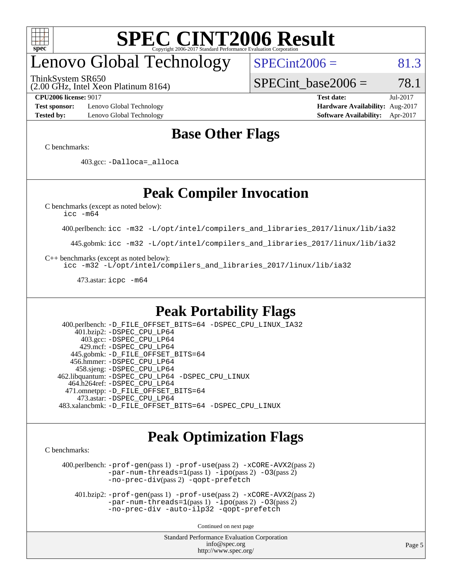

## enovo Global Technology

ThinkSystem SR650

 $SPECint2006 = 81.3$  $SPECint2006 = 81.3$ 

SPECint base2006 =  $78.1$ 

(2.00 GHz, Intel Xeon Platinum 8164)

**[Test sponsor:](http://www.spec.org/auto/cpu2006/Docs/result-fields.html#Testsponsor)** Lenovo Global Technology **[Hardware Availability:](http://www.spec.org/auto/cpu2006/Docs/result-fields.html#HardwareAvailability)** Aug-2017 **[Tested by:](http://www.spec.org/auto/cpu2006/Docs/result-fields.html#Testedby)** Lenovo Global Technology **[Software Availability:](http://www.spec.org/auto/cpu2006/Docs/result-fields.html#SoftwareAvailability)** Apr-2017

**[CPU2006 license:](http://www.spec.org/auto/cpu2006/Docs/result-fields.html#CPU2006license)** 9017 **[Test date:](http://www.spec.org/auto/cpu2006/Docs/result-fields.html#Testdate)** Jul-2017

### **[Base Other Flags](http://www.spec.org/auto/cpu2006/Docs/result-fields.html#BaseOtherFlags)**

[C benchmarks](http://www.spec.org/auto/cpu2006/Docs/result-fields.html#Cbenchmarks):

403.gcc: [-Dalloca=\\_alloca](http://www.spec.org/cpu2006/results/res2017q4/cpu2006-20170918-49790.flags.html#b403.gcc_baseEXTRA_CFLAGS_Dalloca_be3056838c12de2578596ca5467af7f3)

### **[Peak Compiler Invocation](http://www.spec.org/auto/cpu2006/Docs/result-fields.html#PeakCompilerInvocation)**

[C benchmarks \(except as noted below\)](http://www.spec.org/auto/cpu2006/Docs/result-fields.html#Cbenchmarksexceptasnotedbelow):

[icc -m64](http://www.spec.org/cpu2006/results/res2017q4/cpu2006-20170918-49790.flags.html#user_CCpeak_intel_icc_64bit_bda6cc9af1fdbb0edc3795bac97ada53)

400.perlbench: [icc -m32 -L/opt/intel/compilers\\_and\\_libraries\\_2017/linux/lib/ia32](http://www.spec.org/cpu2006/results/res2017q4/cpu2006-20170918-49790.flags.html#user_peakCCLD400_perlbench_intel_icc_c29f3ff5a7ed067b11e4ec10a03f03ae)

445.gobmk: [icc -m32 -L/opt/intel/compilers\\_and\\_libraries\\_2017/linux/lib/ia32](http://www.spec.org/cpu2006/results/res2017q4/cpu2006-20170918-49790.flags.html#user_peakCCLD445_gobmk_intel_icc_c29f3ff5a7ed067b11e4ec10a03f03ae)

[C++ benchmarks \(except as noted below\):](http://www.spec.org/auto/cpu2006/Docs/result-fields.html#CXXbenchmarksexceptasnotedbelow)

[icc -m32 -L/opt/intel/compilers\\_and\\_libraries\\_2017/linux/lib/ia32](http://www.spec.org/cpu2006/results/res2017q4/cpu2006-20170918-49790.flags.html#user_CXXpeak_intel_icc_c29f3ff5a7ed067b11e4ec10a03f03ae)

473.astar: [icpc -m64](http://www.spec.org/cpu2006/results/res2017q4/cpu2006-20170918-49790.flags.html#user_peakCXXLD473_astar_intel_icpc_64bit_fc66a5337ce925472a5c54ad6a0de310)

### **[Peak Portability Flags](http://www.spec.org/auto/cpu2006/Docs/result-fields.html#PeakPortabilityFlags)**

 400.perlbench: [-D\\_FILE\\_OFFSET\\_BITS=64](http://www.spec.org/cpu2006/results/res2017q4/cpu2006-20170918-49790.flags.html#user_peakPORTABILITY400_perlbench_file_offset_bits_64_438cf9856305ebd76870a2c6dc2689ab) [-DSPEC\\_CPU\\_LINUX\\_IA32](http://www.spec.org/cpu2006/results/res2017q4/cpu2006-20170918-49790.flags.html#b400.perlbench_peakCPORTABILITY_DSPEC_CPU_LINUX_IA32) 401.bzip2: [-DSPEC\\_CPU\\_LP64](http://www.spec.org/cpu2006/results/res2017q4/cpu2006-20170918-49790.flags.html#suite_peakPORTABILITY401_bzip2_DSPEC_CPU_LP64) 403.gcc: [-DSPEC\\_CPU\\_LP64](http://www.spec.org/cpu2006/results/res2017q4/cpu2006-20170918-49790.flags.html#suite_peakPORTABILITY403_gcc_DSPEC_CPU_LP64) 429.mcf: [-DSPEC\\_CPU\\_LP64](http://www.spec.org/cpu2006/results/res2017q4/cpu2006-20170918-49790.flags.html#suite_peakPORTABILITY429_mcf_DSPEC_CPU_LP64) 445.gobmk: [-D\\_FILE\\_OFFSET\\_BITS=64](http://www.spec.org/cpu2006/results/res2017q4/cpu2006-20170918-49790.flags.html#user_peakPORTABILITY445_gobmk_file_offset_bits_64_438cf9856305ebd76870a2c6dc2689ab) 456.hmmer: [-DSPEC\\_CPU\\_LP64](http://www.spec.org/cpu2006/results/res2017q4/cpu2006-20170918-49790.flags.html#suite_peakPORTABILITY456_hmmer_DSPEC_CPU_LP64) 458.sjeng: [-DSPEC\\_CPU\\_LP64](http://www.spec.org/cpu2006/results/res2017q4/cpu2006-20170918-49790.flags.html#suite_peakPORTABILITY458_sjeng_DSPEC_CPU_LP64) 462.libquantum: [-DSPEC\\_CPU\\_LP64](http://www.spec.org/cpu2006/results/res2017q4/cpu2006-20170918-49790.flags.html#suite_peakPORTABILITY462_libquantum_DSPEC_CPU_LP64) [-DSPEC\\_CPU\\_LINUX](http://www.spec.org/cpu2006/results/res2017q4/cpu2006-20170918-49790.flags.html#b462.libquantum_peakCPORTABILITY_DSPEC_CPU_LINUX) 464.h264ref: [-DSPEC\\_CPU\\_LP64](http://www.spec.org/cpu2006/results/res2017q4/cpu2006-20170918-49790.flags.html#suite_peakPORTABILITY464_h264ref_DSPEC_CPU_LP64) 471.omnetpp: [-D\\_FILE\\_OFFSET\\_BITS=64](http://www.spec.org/cpu2006/results/res2017q4/cpu2006-20170918-49790.flags.html#user_peakPORTABILITY471_omnetpp_file_offset_bits_64_438cf9856305ebd76870a2c6dc2689ab) 473.astar: [-DSPEC\\_CPU\\_LP64](http://www.spec.org/cpu2006/results/res2017q4/cpu2006-20170918-49790.flags.html#suite_peakPORTABILITY473_astar_DSPEC_CPU_LP64) 483.xalancbmk: [-D\\_FILE\\_OFFSET\\_BITS=64](http://www.spec.org/cpu2006/results/res2017q4/cpu2006-20170918-49790.flags.html#user_peakPORTABILITY483_xalancbmk_file_offset_bits_64_438cf9856305ebd76870a2c6dc2689ab) [-DSPEC\\_CPU\\_LINUX](http://www.spec.org/cpu2006/results/res2017q4/cpu2006-20170918-49790.flags.html#b483.xalancbmk_peakCXXPORTABILITY_DSPEC_CPU_LINUX)

### **[Peak Optimization Flags](http://www.spec.org/auto/cpu2006/Docs/result-fields.html#PeakOptimizationFlags)**

[C benchmarks](http://www.spec.org/auto/cpu2006/Docs/result-fields.html#Cbenchmarks):

 400.perlbench: [-prof-gen](http://www.spec.org/cpu2006/results/res2017q4/cpu2006-20170918-49790.flags.html#user_peakPASS1_CFLAGSPASS1_LDCFLAGS400_perlbench_prof_gen_e43856698f6ca7b7e442dfd80e94a8fc)(pass 1) [-prof-use](http://www.spec.org/cpu2006/results/res2017q4/cpu2006-20170918-49790.flags.html#user_peakPASS2_CFLAGSPASS2_LDCFLAGS400_perlbench_prof_use_bccf7792157ff70d64e32fe3e1250b55)(pass 2) [-xCORE-AVX2](http://www.spec.org/cpu2006/results/res2017q4/cpu2006-20170918-49790.flags.html#user_peakPASS2_CFLAGSPASS2_LDCFLAGS400_perlbench_f-xCORE-AVX2)(pass 2) [-par-num-threads=1](http://www.spec.org/cpu2006/results/res2017q4/cpu2006-20170918-49790.flags.html#user_peakPASS1_CFLAGSPASS1_LDCFLAGS400_perlbench_par_num_threads_786a6ff141b4e9e90432e998842df6c2)(pass 1) [-ipo](http://www.spec.org/cpu2006/results/res2017q4/cpu2006-20170918-49790.flags.html#user_peakPASS2_CFLAGSPASS2_LDCFLAGS400_perlbench_f-ipo)(pass 2) [-O3](http://www.spec.org/cpu2006/results/res2017q4/cpu2006-20170918-49790.flags.html#user_peakPASS2_CFLAGSPASS2_LDCFLAGS400_perlbench_f-O3)(pass 2) [-no-prec-div](http://www.spec.org/cpu2006/results/res2017q4/cpu2006-20170918-49790.flags.html#user_peakPASS2_CFLAGSPASS2_LDCFLAGS400_perlbench_f-no-prec-div)(pass 2) [-qopt-prefetch](http://www.spec.org/cpu2006/results/res2017q4/cpu2006-20170918-49790.flags.html#user_peakCOPTIMIZE400_perlbench_f-qopt-prefetch)

 401.bzip2: [-prof-gen](http://www.spec.org/cpu2006/results/res2017q4/cpu2006-20170918-49790.flags.html#user_peakPASS1_CFLAGSPASS1_LDCFLAGS401_bzip2_prof_gen_e43856698f6ca7b7e442dfd80e94a8fc)(pass 1) [-prof-use](http://www.spec.org/cpu2006/results/res2017q4/cpu2006-20170918-49790.flags.html#user_peakPASS2_CFLAGSPASS2_LDCFLAGS401_bzip2_prof_use_bccf7792157ff70d64e32fe3e1250b55)(pass 2) [-xCORE-AVX2](http://www.spec.org/cpu2006/results/res2017q4/cpu2006-20170918-49790.flags.html#user_peakPASS2_CFLAGSPASS2_LDCFLAGS401_bzip2_f-xCORE-AVX2)(pass 2)  $-par-num-threads=1(pass 1) -ipo(pass 2) -O3(pass 2)$  $-par-num-threads=1(pass 1) -ipo(pass 2) -O3(pass 2)$  $-par-num-threads=1(pass 1) -ipo(pass 2) -O3(pass 2)$  $-par-num-threads=1(pass 1) -ipo(pass 2) -O3(pass 2)$  $-par-num-threads=1(pass 1) -ipo(pass 2) -O3(pass 2)$  $-par-num-threads=1(pass 1) -ipo(pass 2) -O3(pass 2)$ [-no-prec-div](http://www.spec.org/cpu2006/results/res2017q4/cpu2006-20170918-49790.flags.html#user_peakCOPTIMIZEPASS2_CFLAGSPASS2_LDCFLAGS401_bzip2_f-no-prec-div) [-auto-ilp32](http://www.spec.org/cpu2006/results/res2017q4/cpu2006-20170918-49790.flags.html#user_peakCOPTIMIZE401_bzip2_f-auto-ilp32) [-qopt-prefetch](http://www.spec.org/cpu2006/results/res2017q4/cpu2006-20170918-49790.flags.html#user_peakCOPTIMIZE401_bzip2_f-qopt-prefetch)

Continued on next page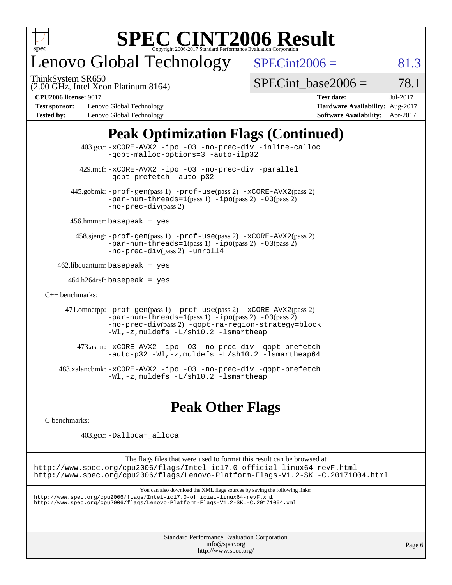

## enovo Global Technology

ThinkSystem SR650

 $SPECint2006 = 81.3$  $SPECint2006 = 81.3$ 

(2.00 GHz, Intel Xeon Platinum 8164)

SPECint base2006 =  $78.1$ 

**[Test sponsor:](http://www.spec.org/auto/cpu2006/Docs/result-fields.html#Testsponsor)** Lenovo Global Technology **[Hardware Availability:](http://www.spec.org/auto/cpu2006/Docs/result-fields.html#HardwareAvailability)** Aug-2017 **[Tested by:](http://www.spec.org/auto/cpu2006/Docs/result-fields.html#Testedby)** Lenovo Global Technology **[Software Availability:](http://www.spec.org/auto/cpu2006/Docs/result-fields.html#SoftwareAvailability)** Apr-2017

**[CPU2006 license:](http://www.spec.org/auto/cpu2006/Docs/result-fields.html#CPU2006license)** 9017 **[Test date:](http://www.spec.org/auto/cpu2006/Docs/result-fields.html#Testdate)** Jul-2017

### **[Peak Optimization Flags \(Continued\)](http://www.spec.org/auto/cpu2006/Docs/result-fields.html#PeakOptimizationFlags)**

 403.gcc: [-xCORE-AVX2](http://www.spec.org/cpu2006/results/res2017q4/cpu2006-20170918-49790.flags.html#user_peakOPTIMIZE403_gcc_f-xCORE-AVX2) [-ipo](http://www.spec.org/cpu2006/results/res2017q4/cpu2006-20170918-49790.flags.html#user_peakOPTIMIZE403_gcc_f-ipo) [-O3](http://www.spec.org/cpu2006/results/res2017q4/cpu2006-20170918-49790.flags.html#user_peakOPTIMIZE403_gcc_f-O3) [-no-prec-div](http://www.spec.org/cpu2006/results/res2017q4/cpu2006-20170918-49790.flags.html#user_peakOPTIMIZE403_gcc_f-no-prec-div) [-inline-calloc](http://www.spec.org/cpu2006/results/res2017q4/cpu2006-20170918-49790.flags.html#user_peakCOPTIMIZE403_gcc_f-inline-calloc) [-qopt-malloc-options=3](http://www.spec.org/cpu2006/results/res2017q4/cpu2006-20170918-49790.flags.html#user_peakCOPTIMIZE403_gcc_f-qopt-malloc-options_0fcb435012e78f27d57f473818e45fe4) [-auto-ilp32](http://www.spec.org/cpu2006/results/res2017q4/cpu2006-20170918-49790.flags.html#user_peakCOPTIMIZE403_gcc_f-auto-ilp32) 429.mcf: [-xCORE-AVX2](http://www.spec.org/cpu2006/results/res2017q4/cpu2006-20170918-49790.flags.html#user_peakOPTIMIZE429_mcf_f-xCORE-AVX2) [-ipo](http://www.spec.org/cpu2006/results/res2017q4/cpu2006-20170918-49790.flags.html#user_peakOPTIMIZE429_mcf_f-ipo) [-O3](http://www.spec.org/cpu2006/results/res2017q4/cpu2006-20170918-49790.flags.html#user_peakOPTIMIZE429_mcf_f-O3) [-no-prec-div](http://www.spec.org/cpu2006/results/res2017q4/cpu2006-20170918-49790.flags.html#user_peakOPTIMIZE429_mcf_f-no-prec-div) [-parallel](http://www.spec.org/cpu2006/results/res2017q4/cpu2006-20170918-49790.flags.html#user_peakCOPTIMIZE429_mcf_f-parallel) [-qopt-prefetch](http://www.spec.org/cpu2006/results/res2017q4/cpu2006-20170918-49790.flags.html#user_peakCOPTIMIZE429_mcf_f-qopt-prefetch) [-auto-p32](http://www.spec.org/cpu2006/results/res2017q4/cpu2006-20170918-49790.flags.html#user_peakCOPTIMIZE429_mcf_f-auto-p32) 445.gobmk: [-prof-gen](http://www.spec.org/cpu2006/results/res2017q4/cpu2006-20170918-49790.flags.html#user_peakPASS1_CFLAGSPASS1_LDCFLAGS445_gobmk_prof_gen_e43856698f6ca7b7e442dfd80e94a8fc)(pass 1) [-prof-use](http://www.spec.org/cpu2006/results/res2017q4/cpu2006-20170918-49790.flags.html#user_peakPASS2_CFLAGSPASS2_LDCFLAGS445_gobmk_prof_use_bccf7792157ff70d64e32fe3e1250b55)(pass 2) [-xCORE-AVX2](http://www.spec.org/cpu2006/results/res2017q4/cpu2006-20170918-49790.flags.html#user_peakPASS2_CFLAGSPASS2_LDCFLAGS445_gobmk_f-xCORE-AVX2)(pass 2)  $-par-num-threads=1(pass 1) -ipo(pass 2) -O3(pass 2)$  $-par-num-threads=1(pass 1) -ipo(pass 2) -O3(pass 2)$  $-par-num-threads=1(pass 1) -ipo(pass 2) -O3(pass 2)$  $-par-num-threads=1(pass 1) -ipo(pass 2) -O3(pass 2)$  $-par-num-threads=1(pass 1) -ipo(pass 2) -O3(pass 2)$  $-par-num-threads=1(pass 1) -ipo(pass 2) -O3(pass 2)$ [-no-prec-div](http://www.spec.org/cpu2006/results/res2017q4/cpu2006-20170918-49790.flags.html#user_peakPASS2_CFLAGSPASS2_LDCFLAGS445_gobmk_f-no-prec-div)(pass 2) 456.hmmer: basepeak = yes 458.sjeng: [-prof-gen](http://www.spec.org/cpu2006/results/res2017q4/cpu2006-20170918-49790.flags.html#user_peakPASS1_CFLAGSPASS1_LDCFLAGS458_sjeng_prof_gen_e43856698f6ca7b7e442dfd80e94a8fc)(pass 1) [-prof-use](http://www.spec.org/cpu2006/results/res2017q4/cpu2006-20170918-49790.flags.html#user_peakPASS2_CFLAGSPASS2_LDCFLAGS458_sjeng_prof_use_bccf7792157ff70d64e32fe3e1250b55)(pass 2) [-xCORE-AVX2](http://www.spec.org/cpu2006/results/res2017q4/cpu2006-20170918-49790.flags.html#user_peakPASS2_CFLAGSPASS2_LDCFLAGS458_sjeng_f-xCORE-AVX2)(pass 2) [-par-num-threads=1](http://www.spec.org/cpu2006/results/res2017q4/cpu2006-20170918-49790.flags.html#user_peakPASS1_CFLAGSPASS1_LDCFLAGS458_sjeng_par_num_threads_786a6ff141b4e9e90432e998842df6c2)(pass 1) [-ipo](http://www.spec.org/cpu2006/results/res2017q4/cpu2006-20170918-49790.flags.html#user_peakPASS2_CFLAGSPASS2_LDCFLAGS458_sjeng_f-ipo)(pass 2) [-O3](http://www.spec.org/cpu2006/results/res2017q4/cpu2006-20170918-49790.flags.html#user_peakPASS2_CFLAGSPASS2_LDCFLAGS458_sjeng_f-O3)(pass 2) [-no-prec-div](http://www.spec.org/cpu2006/results/res2017q4/cpu2006-20170918-49790.flags.html#user_peakPASS2_CFLAGSPASS2_LDCFLAGS458_sjeng_f-no-prec-div)(pass 2) [-unroll4](http://www.spec.org/cpu2006/results/res2017q4/cpu2006-20170918-49790.flags.html#user_peakCOPTIMIZE458_sjeng_f-unroll_4e5e4ed65b7fd20bdcd365bec371b81f)  $462$ .libquantum: basepeak = yes  $464.h264$ ref: basepeak = yes [C++ benchmarks:](http://www.spec.org/auto/cpu2006/Docs/result-fields.html#CXXbenchmarks) 471.omnetpp: [-prof-gen](http://www.spec.org/cpu2006/results/res2017q4/cpu2006-20170918-49790.flags.html#user_peakPASS1_CXXFLAGSPASS1_LDCXXFLAGS471_omnetpp_prof_gen_e43856698f6ca7b7e442dfd80e94a8fc)(pass 1) [-prof-use](http://www.spec.org/cpu2006/results/res2017q4/cpu2006-20170918-49790.flags.html#user_peakPASS2_CXXFLAGSPASS2_LDCXXFLAGS471_omnetpp_prof_use_bccf7792157ff70d64e32fe3e1250b55)(pass 2) [-xCORE-AVX2](http://www.spec.org/cpu2006/results/res2017q4/cpu2006-20170918-49790.flags.html#user_peakPASS2_CXXFLAGSPASS2_LDCXXFLAGS471_omnetpp_f-xCORE-AVX2)(pass 2)  $-par-num-threads=1(pass 1) -ipo(pass 2) -O3(pass 2)$  $-par-num-threads=1(pass 1) -ipo(pass 2) -O3(pass 2)$  $-par-num-threads=1(pass 1) -ipo(pass 2) -O3(pass 2)$  $-par-num-threads=1(pass 1) -ipo(pass 2) -O3(pass 2)$  $-par-num-threads=1(pass 1) -ipo(pass 2) -O3(pass 2)$  $-par-num-threads=1(pass 1) -ipo(pass 2) -O3(pass 2)$ [-no-prec-div](http://www.spec.org/cpu2006/results/res2017q4/cpu2006-20170918-49790.flags.html#user_peakPASS2_CXXFLAGSPASS2_LDCXXFLAGS471_omnetpp_f-no-prec-div)(pass 2) [-qopt-ra-region-strategy=block](http://www.spec.org/cpu2006/results/res2017q4/cpu2006-20170918-49790.flags.html#user_peakCXXOPTIMIZE471_omnetpp_f-qopt-ra-region-strategy_0f7b543d62da454b380160c0e3b28f94) [-Wl,-z,muldefs](http://www.spec.org/cpu2006/results/res2017q4/cpu2006-20170918-49790.flags.html#user_peakEXTRA_LDFLAGS471_omnetpp_link_force_multiple1_74079c344b956b9658436fd1b6dd3a8a) [-L/sh10.2 -lsmartheap](http://www.spec.org/cpu2006/results/res2017q4/cpu2006-20170918-49790.flags.html#user_peakEXTRA_LIBS471_omnetpp_SmartHeap_b831f2d313e2fffa6dfe3f00ffc1f1c0) 473.astar: [-xCORE-AVX2](http://www.spec.org/cpu2006/results/res2017q4/cpu2006-20170918-49790.flags.html#user_peakOPTIMIZE473_astar_f-xCORE-AVX2) [-ipo](http://www.spec.org/cpu2006/results/res2017q4/cpu2006-20170918-49790.flags.html#user_peakOPTIMIZE473_astar_f-ipo) [-O3](http://www.spec.org/cpu2006/results/res2017q4/cpu2006-20170918-49790.flags.html#user_peakOPTIMIZE473_astar_f-O3) [-no-prec-div](http://www.spec.org/cpu2006/results/res2017q4/cpu2006-20170918-49790.flags.html#user_peakOPTIMIZE473_astar_f-no-prec-div) [-qopt-prefetch](http://www.spec.org/cpu2006/results/res2017q4/cpu2006-20170918-49790.flags.html#user_peakCXXOPTIMIZE473_astar_f-qopt-prefetch) [-auto-p32](http://www.spec.org/cpu2006/results/res2017q4/cpu2006-20170918-49790.flags.html#user_peakCXXOPTIMIZE473_astar_f-auto-p32) [-Wl,-z,muldefs](http://www.spec.org/cpu2006/results/res2017q4/cpu2006-20170918-49790.flags.html#user_peakEXTRA_LDFLAGS473_astar_link_force_multiple1_74079c344b956b9658436fd1b6dd3a8a) [-L/sh10.2 -lsmartheap64](http://www.spec.org/cpu2006/results/res2017q4/cpu2006-20170918-49790.flags.html#user_peakEXTRA_LIBS473_astar_SmartHeap64_63911d860fc08c15fa1d5bf319b9d8d5) 483.xalancbmk: [-xCORE-AVX2](http://www.spec.org/cpu2006/results/res2017q4/cpu2006-20170918-49790.flags.html#user_peakOPTIMIZE483_xalancbmk_f-xCORE-AVX2) [-ipo](http://www.spec.org/cpu2006/results/res2017q4/cpu2006-20170918-49790.flags.html#user_peakOPTIMIZE483_xalancbmk_f-ipo) [-O3](http://www.spec.org/cpu2006/results/res2017q4/cpu2006-20170918-49790.flags.html#user_peakOPTIMIZE483_xalancbmk_f-O3) [-no-prec-div](http://www.spec.org/cpu2006/results/res2017q4/cpu2006-20170918-49790.flags.html#user_peakOPTIMIZE483_xalancbmk_f-no-prec-div) [-qopt-prefetch](http://www.spec.org/cpu2006/results/res2017q4/cpu2006-20170918-49790.flags.html#user_peakCXXOPTIMIZE483_xalancbmk_f-qopt-prefetch) [-Wl,-z,muldefs](http://www.spec.org/cpu2006/results/res2017q4/cpu2006-20170918-49790.flags.html#user_peakEXTRA_LDFLAGS483_xalancbmk_link_force_multiple1_74079c344b956b9658436fd1b6dd3a8a) [-L/sh10.2 -lsmartheap](http://www.spec.org/cpu2006/results/res2017q4/cpu2006-20170918-49790.flags.html#user_peakEXTRA_LIBS483_xalancbmk_SmartHeap_b831f2d313e2fffa6dfe3f00ffc1f1c0)

### **[Peak Other Flags](http://www.spec.org/auto/cpu2006/Docs/result-fields.html#PeakOtherFlags)**

[C benchmarks](http://www.spec.org/auto/cpu2006/Docs/result-fields.html#Cbenchmarks):

403.gcc: [-Dalloca=\\_alloca](http://www.spec.org/cpu2006/results/res2017q4/cpu2006-20170918-49790.flags.html#b403.gcc_peakEXTRA_CFLAGS_Dalloca_be3056838c12de2578596ca5467af7f3)

The flags files that were used to format this result can be browsed at <http://www.spec.org/cpu2006/flags/Intel-ic17.0-official-linux64-revF.html> <http://www.spec.org/cpu2006/flags/Lenovo-Platform-Flags-V1.2-SKL-C.20171004.html>

You can also download the XML flags sources by saving the following links:

<http://www.spec.org/cpu2006/flags/Intel-ic17.0-official-linux64-revF.xml> <http://www.spec.org/cpu2006/flags/Lenovo-Platform-Flags-V1.2-SKL-C.20171004.xml>